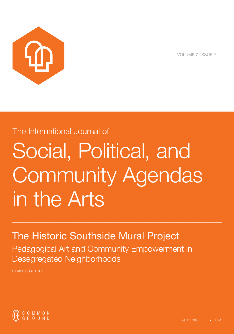

VOLUME 7 ISSUE 2

# The International Journal of Social, Political, and Community Agendas in the Arts

!!!!!!!!!!!!!!!!!!!!!!!!!!!!!!!!!!!!!!!!!!!!!!!!!!!!!!!!!!!!!!!!!!!!!!!!!!

# The Historic Southside Mural Project

Pedagogical Art and Community Empowerment in Desegregated Neighborhoods

RICARDO GUTHRIE



ARTSINSOCIETY.COM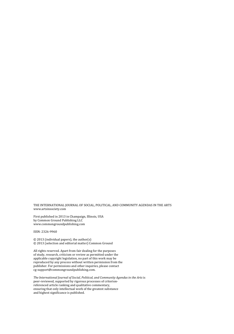THE INTERNATIONAL JOURNAL OF SOCIAL, POLITICAL, AND COMMUNITY AGENDAS IN THE ARTS www.artsinsociety.com

First published in 2013 in Champaign, Illinois, USA by Common Ground Publishing LLC www.commongroundpublishing.com

ISSN: 2326-9960

© 2013 (individual papers), the author(s) © 2013 (selection and editorial matter) Common Ground

All rights reserved. Apart from fair dealing for the purposes of study, research, criticism or review as permitted under the applicable copyright legislation, no part of this work may be reproduced by any process without written permission from the publisher. For permissions and other inquiries, please contact cg‐support@commongroundpublishing.com.

*The International Journal of Social, Political, and Community Agendas in the Arts*is peer-reviewed, supported by rigorous processes of criterionreferenced article ranking and qualitative commentary, ensuring that only intellectual work of the greatest substance and highest significance is published.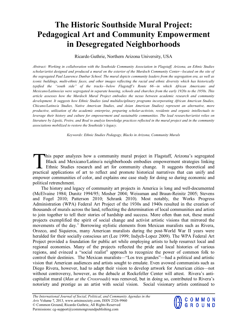# **The Historic Southside Mural Project: Pedagogical Art and Community Empowerment in Desegregated Neighborhoods**

Ricardo Guthrie, Northern Arizona University, USA

*Abstract: Working in collaboration with the Southside Community Association in Flagstaff, Arizona, an Ethnic Studies scholar/artist designed and produced a mural on the exterior of the Murdoch Community Center—located on the site of the segregated Paul Laurence Dunbar School. The mural depicts community leaders from the segregation era, as well as iconic buildings, multi-ethnic faces, and other images reflecting the racial and ethnic diversity which has historically typified the "south side" of the tracks—below Flagstaff's Route 66—in which African Americans and Mexicano/Latinos/as were segregated in separate housing, schools and churches from the early 1920s to the 1950s. This article assesses how the Murdoch Mural Project embodies the nexus between academic research and community development. It suggests how Ethnic Studies (and multidisciplinary programs incorporating African American Studies, Chicano/Latino/a Studies, Native American Studies, and Asian American Studies) represent an alternative, more productive, utilization of the academic enterprise, preparing scholar-activists, residents and organic intellectuals to leverage their history and culture for empowerment and sustainable communities. The lead researcher/artist relies on literature by Lipsitz, Freire, and Boal to analyze knowledge practices reflected in the mural project and in the community associations mobilized to restore the Southside's legacy.*

*Keywords: Ethnic Studies Pedagogy, Blacks in Arizona, Community Murals*

his paper analyzes how a community mural project in Flagstaff, Arizona's segregated Black and Mexicano/Latino/a neighborhoods embodies empowerment strategies linking Ethnic Studies research and art for community change. It suggests theoretical and This paper analyzes how a community mural project in Flagstaff, Arizona's segregated Black and Mexicano/Latino/a neighborhoods embodies empowerment strategies linking Ethnic Studies research and art for community change. I empower communities of color, and explains one case study for doing so during economic and political retrenchment.

The history and legacy of community art projects in America is long and well-documented (McElvaine 1984; Dunitz 1994/95; Mosher 2004; Weissman and Braun-Reinitz 2005; Stevens and Fogel 2010; Patterson 2010; Schrank 2010). Most notably, the Works Progress Administration (WPA) Federal Art Project of the 1930s and 1940s resulted in the creation of thousands of murals across the land, reflecting the determination of local communities and artists to join together to tell their stories of hardship and success. More often than not, these mural projects exemplified the spirit of social change and activist artistic visions that mirrored the movements of the day.<sup>[1](#page-14-0)</sup> Borrowing stylistic elements from Mexican muralists such as Rivera, Orozco, and Siquieros, many American muralists during the post-World War II years were heralded for their socially conscious art (Lee 1999; Indych-Lopez 2009). The WPA Federal Art Project provided a foundation for public art while employing artists to help resurrect local and regional economies. Many of the projects reflected the pride and local histories of various regions, and evinced a "social realist" approach to recognize the power of common folk to control their destinies. The Mexican muralists—"Los tres grandes"—had a political and artistic vision that American audiences and artists sought to emulate. Even avowed communists such as Diego Rivera, however, had to adapt their vision to develop artwork for American cities—not without controversy, however, as the debacle at Rockefeller Center will attest. Rivera's anticapitalist mural (*Man at the Crossroads*) was removed, but in doing so, contributed to Rivera's notoriety and prestige as an artist with social vision. Social visionary artists continued to

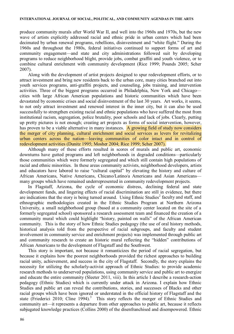produce community murals after World War II, and well into the 1960s and 1970s, but the new wave of artists explicitly addressed racial and ethnic pride in urban centers which had been decimated by urban renewal programs, rebellions, disinvestment and "white flight." During the 1960s and throughout the 1980s, federal initiatives continued to support forms of art and community engagement—and state and city administrations followed suit by developing programs to reduce neighborhood blight, provide jobs, combat graffiti and youth violence, or to combine cultural enrichment with community development (Rice 1999; Pounds 2005; Scher 2007).

Along with the development of artist projects designed to spur redevelopment efforts, or to attract investment and bring new residents back to the urban core, many cities branched out into youth services programs, anti-graffiti projects, and counseling, jobs training, and intervention activities. Three of the biggest programs occurred in Philadelphia, New York and Chicago cities with large African American populations and historic communities which have been devastated by economic crises and social disinvestment of the last 30 years. Art works, it seems, to not only attract investment and renewed interest in the inner city, but it can also be used successfully to strengthen existing racial and ethnic populations who have suffered the most from institutional racism, segregation, police brutality, poor schools and lack of jobs. Clearly, putting up pretty pictures is not enough; creating art projects as forms of social intervention, however, has proven to be a viable alternative in many instances. A growing field of study now considers the merger of city planning, cultural enrichment and social services as levers for revitalizing urban centers across the nation—leaving communities of color intact and in control of redevelopment activities (Dunitz 1995; Mosher 2004; Rice 1999; Scher 2007).

Although many of these efforts resulted in scores of murals and public art, economic downturns have gutted programs and left neighborhoods in degraded conditions—particularly those communities which were formerly segregated and which still contain high populations of racial and ethnic minorities. In these areas community activists, neighborhood developers, artists and educators have labored to raise "cultural capital" by elevating the history and culture of African Americans, Native Americans, Chicano/Latino/a Americans and Asian Americans many groups which have remained underrepresented in community redevelopment projects.

In Flagstaff, Arizona, the cycle of economic distress, declining federal and state development funds, and lingering effects of racial discrimination are still in evidence, but there are indications that the story is being turned around. Using Ethnic Studies<sup>[2](#page-14-2)</sup> faculty and staff, and ethnographic methodologies created in the Ethnic Studies Program at Northern Arizona University, a small neighborhood group (based at a community center located on the site of a formerly segregated school) sponsored a research assessment team and financed the creation of a community mural which could highlight "history, painted on walls" of the African American community. This is the story of how Ethnic Studies pedagogy (the use of oral history methods, historical analysis told from the perspective of racial subgroups, and faculty and student involvement in community service and enrichment projects) was implemented through public art and community research to create an historic mural reflecting the "hidden" contributions of African Americans to the development of Flagstaff and the Southwest.

This story is important, not because it romanticizes the period of racial segregation, but because it explains how the poorest neighborhoods provided the richest approaches to building racial unity, achievement, and success in the city of Flagstaff. Secondly, the story explains the necessity for utilizing the scholarly-activist approach of Ethnic Studies: to provide academic research methods to underserved populations, using community service and public art to energize and educate the entire community (Sleeter 2011, viii). In this article I describe a research-action pedagogy (Ethnic Studies) which is currently under attack in Arizona. I explain how Ethnic Studies and public art can reveal the contributions, stories, and successes of Blacks and other racial groups which have been ignored or understated in the official history of Flagstaff and the state (Friederici 2010; Cline 1994).<sup>[3](#page-14-1)</sup> This story reflects the merger of Ethnic Studies and community art—it represents a departure from other approaches to public art, because it reflects subjugated knowledge practices (Collins 2000) of the disenfranchised and disempowered. Ethnic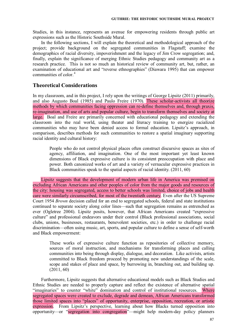Studies, in this instance, represents an avenue for empowering residents through public art expressions such as the Historic Southside Mural.

In the following sections, I will explain the theoretical and methodological approach of the project; provide background on the segregated communities in Flagstaff; examine the demographics of racial diversity, impoverishment and the legacy of Jim Crow segregation; and, finally, explain the significance of merging Ethnic Studies pedagogy and community art as a research practice. This is not so much an historical review of community art, but, rather, an examination of educational art and "reverse ethnographies" (Diawara 1995) that can empower communities of color $<sup>4</sup>$  $<sup>4</sup>$  $<sup>4</sup>$ </sup>

## **Theoretical Considerations**

In my classroom, and in this project, I rely upon the writings of George Lipsitz (2011) primarily, and also Augusto Boal (1985) and Paulo Freire (1970). These scholar-activists all theorize methods by which communities facing oppression can re-define themselves and, through praxis, re-imagination, and use of arts and popular culture, begin to transform themselves and society at large. Boal and Freire are primarily concerned with educational pedagogy and extending the classroom into the real world, using theater and literacy training to energize racialized communities who may have been denied access to formal education. Lipsitz's approach, in comparison, describes methods for such communities to restore a spatial imaginary supporting racial identity and cultural history:

People who do not control physical places often construct discursive spaces as sites of agency, affiliation, and imagination. One of the most important yet least known dimensions of Black expressive culture is its consistent preoccupation with place and power. Both canonized works of art and a variety of vernacular expressive practices in Black communities speak to the spatial aspects of racial identity. (2011, 60)

Lipsitz suggests that the development of modern urban life in America was premised on excluding African Americans and other peoples of color from the major goods and resources of the city: housing was segregated, access to better schools was limited, choice of jobs and health care were similarly circumscribed, for most of the twentieth century. Even after the US Supreme Court 1954 *Brown* decision called for an end to segregated schools, federal and state institutions continued to separate society along color lines—such that segregation remains as entrenched as ever (Ogletree 2004). Lipsitz posits, however, that African Americans created "expressive culture" and professional endeavors under their control (Black professional associations, social clubs, unions, businesses, restaurants, benevolent societies, etc.) in order to challenge racial discrimination—often using music, art, sports, and popular culture to define a sense of self-worth and Black empowerment:

These works of expressive culture function as repositories of collective memory, sources of moral instruction, and mechanisms for transforming places and calling communities into being through display, dialogue, and decoration. Like activists, artists committed to Black freedom proceed by promoting new understandings of the scale, scope and stakes of place and space, by burrowing in, branching out, and building up. (2011, 60)

Furthermore, Lipsitz suggests that alternative educational models such as Black Studies and Ethnic Studies are needed to properly capture and reflect the existence of alternative spatial "imaginaries" to counter "white" domination and control of institutional resources. Where segregated spaces were created to exclude, degrade and demean, African Americans transformed those limited spaces into "places" of opportunity, enterprise, opposition, recreation, or artistic expression. From Lipsitz's perspective, learning about how Blacks turned opposition into opportunity—or "segregation into congregation"—might help modern-day policy planners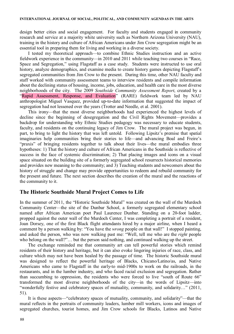design better cities and social engagement. For faculty and students engaged in community research and service at a majority white university such as Northern Arizona University (NAU), training in the history and culture of African Americans under Jim Crow segregation might be an essential tool in preparing them for living and working in a diverse society.

I tested my theoretical approach—to combine Ethnic Studies instruction and an active fieldwork experience in the community—in 2010 and 2011 while teaching two courses in "Race, Space and Segregation," using Flagstaff as a case study. Students were instructed to use oral history, analyze demographics, and examine media to create history games depicting Flagstaff's segregated communities from Jim Crow to the present. During this time, other NAU faculty and staff worked with community assessment teams to interview residents and compile information about the declining status of housing, income, jobs, education, and health care in the most diverse neighborhoods of the city. The 2009 *Southside Community Assessment Report*, created by a "Rapid Assessment, Response, and Evaluation" (RARE) fieldwork team led by NAU anthropologist Miguel Vasquez, provided up-to-date information that suggested the impact of segregation had not lessened over the years (Trotter and Needle, et al. 2001).

This irony—that the most diverse neighborhoods had experienced the highest levels of decline since the beginning of desegregation and the Civil Rights Movement—provides a backdrop for understanding why Ethnic Studies pedagogy was necessary to educate students, faculty, and residents on the continuing legacy of Jim Crow. The mural project was begun, in part, to bring to light the history that was left untold. Following Lipsitz's premise that spatial imaginaries help communities bring their stories to life—and advancing Boal and Freire's "praxis" of bringing residents together to talk about their lives—the mural embodies three hypotheses: 1) That the history and culture of African Americans in the Southside is reflective of success in the face of systemic discrimination; 2) That placing images and icons on a visual space situated on the building site of a formerly segregated school resurrects historical memories and provides new meaning to the community; and 3) Teaching students and newcomers about the history of struggle and change may provide opportunities to redeem and rebuild community for the present and future. The next section describes the creation of the mural and the reactions of the community to it.

# **The Historic Southside Mural Project Comes to Life**

In the summer of 2011, the "Historic Southside Mural" was created on the wall of the Murdoch Community Center—the site of the Dunbar School, a formerly segregated elementary school named after African American poet Paul Laurence Dunbar. Standing on a 20-foot ladder, propped against the outer wall of the Murdoch Center, I was completing a portrait of a resident, Joan Dorsey, one of the first Black flight attendants hired by a major airline, when I heard a comment by a person walking by: "You have the *wrong* people on that wall!" I stopped painting, and asked the person, who was now walking past me: "Well, tell me who are the *right* people who belong on the wall?"… but the person said nothing, and continued walking up the street.

The exchange reminded me that community art can tell powerful stories which remind residents of their history and heritage, but it can also evoke lingering injuries of race, class, and culture which may not have been healed by the passage of time. The historic Southside mural was designed to reflect the powerful heritage of Blacks, Chicano/Latino/as, and Native Americans who came to Flagstaff in the early-to mid-1900s to work on the railroads, in the restaurants, and in the lumber industry, and who faced racial exclusion and segregation. Rather than succumbing to oppression, the residents who were forced to live "south of Route 66" transformed the most diverse neighborhoods of the city—in the words of Lipsitz—into "wonderfully festive and celebratory spaces of mutuality, community, and solidarity…" (2011, 51).

It is these aspects—"celebratory spaces of mutuality, community, and solidarity"—that the mural reflects in the portraits of community leaders, lumber mill workers, icons and images of segregated churches, tourist homes, and Jim Crow schools for Blacks, Latinos and Native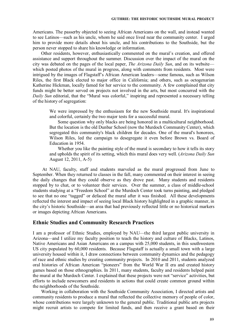Americans. The passerby objected to seeing African Americans on the wall, and instead wanted to see Latinos—such as his uncle, whom he said once lived near the community center. I urged him to provide more details about his uncle, and his contributions to the Southside, but the person never stopped to share his knowledge or information.

Other residents, however, enthusiastically commented on the mural's creation, and offered assistance and support throughout the summer. Discussion over the impact of the mural on the city was debated on the pages of the local paper, *The Arizona Daily Sun*, and on its website which posted photos of the mural in progress, along with comments from residents. Most were intrigued by the images of Flagstaff's African American leaders—some famous, such as Wilson Riles, the first Black elected to major office in California; and others, such as octogenarian Katherine Hickman, locally famed for her service to the community. A few complained that city funds might be better served on projects not involved in the arts, but most concurred with the *Daily Sun* editorial, that the "Mural was colorful," inspiring and represented a necessary telling of the history of segregation:

We were impressed by the enthusiasm for the new Southside mural. It's inspirational and colorful, certainly the two major tests for a successful mural.

Some question why only blacks are being honored in a multicultural neighborhood. But the location is the old Dunbar School (now the Murdoch Community Center), which segregated this community's black children for decades. One of the mural's honorees, Wilson Riles, led the campaign to desegregate it even before Brown vs. Board of Education in 1954.

Whether you like the painting style of the mural is secondary to how it tells its story and upholds the spirit of its setting, which this mural does very well. (*Arizona Daily Sun* August 12, 2011, A-5)

At NAU, faculty, staff and students marveled as the mural progressed from June to September. When they returned to classes in the fall, many commented on their interest in seeing the daily changes that they could observe as they drove past. Many students and residents stopped by to chat, or to volunteer their services. Over the summer, a class of middle-school students studying at a "Freedom School" at the Murdoch Center took turns painting, and pledged to see that no one "tagged" or defaced the mural after it was finished. All these developments reflected the interest and impact of seeing local Black history highlighted in a graphic manner, in the city's historic Southside—an area that had previously reflected little or no historical markers or images depicting African Americans.

#### **Ethnic Studies and Community Research Practices**

I am a professor of Ethnic Studies, employed by NAU—the third largest public university in Arizona—and I utilize my faculty position to teach the history and culture of Blacks, Latinos, Native Americans and Asian Americans on a campus with 25,000 students, in this southwestern US city populated by 60,000 residents. Because Flagstaff is actually a small town with a large university housed within it, I draw connections between community dynamics and the pedagogy of race and ethnic studies by creating community projects. In 2010 and 2011, students analyzed oral histories of African American "pioneers" from the World War II era and created history games based on those ethnographies. In 2011, many students, faculty and residents helped paint the mural at the Murdoch Center. I explained that these projects were not "service" activities, but efforts to include newcomers and residents in actions that could create common ground within the neighborhoods of the Southside.

Working in collaboration with the Southside Community Association, I directed artists and community residents to produce a mural that reflected the collective memory of people of color, whose contributions were largely unknown to the general public. Traditional public arts projects might recruit artists to compete for limited funds, and then receive a grant based on their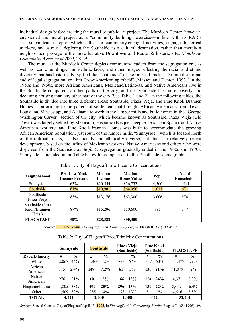individual design before creating the mural or public art project. The Murdoch Center, however, envisioned the mural project as a "community building" exercise—in line with its RARE assessment team's report which called for community-engaged activities, signage, historical markers, and a mural depicting the Southside as a cultural destination, rather than merely a neighborhood passage to the more lucrative Downtown and Route 66 historic sites (*Southside Community Assessment* 2009, 28-29).

The mural at the Murdoch Center depicts community leaders from the segregation era, as well as iconic buildings, multi-ethnic faces, and other images reflecting the racial and ethnic diversity that has historically typified the "south side" of the railroad tracks. Despite the formal end of legal segregation, or "Jim Crow/American apartheid" (Massey and Denton 1993) $\frac{5}{3}$  $\frac{5}{3}$  $\frac{5}{3}$  in the 1950s and 1960s, more African Americans, Mexicano/Latino/as, and Native Americans live in the Southside compared to other parts of the city, and the Southside has more poverty and declining housing than any other part of the city (See Table 1 and 2). In the following tables, the Southside is divided into three different areas: Southside, Plaza Vieja, and Pine Knoll/Brannen Homes—conforming to the pattern of settlement that brought African Americans from Texas, Louisiana, Mississippi, and Alabama to work in the lumber mills and build homes in the "George Washington Carver" section of the city, which became known as Southside. Plaza Vieja (Old Town) was largely settled by Mexicano, Hispanic (Basque sheepherders from Spain), and Native American workers; and Pine Knoll/Brannen Homes was built to accommodate the growing African American population, just south of the lumber mills. "Sunnyside," which is located north of the railroad tracks, is also racially and ethnically diverse, but this is a relatively recent development, based on the influx of Mexicano workers, Native Americans and others who were dispersed from the Southside as *de facto* segregation gradually ended in the 1960s and 1970s. Sunnyside is included in the Table below for comparison to the "Southside" demographics.

| Neighborhood                               | Pct. Low-Mod.<br><b>Income Persons</b> | Median<br>Income | Median<br><b>Home Value</b> | Pop.  | No. of<br><b>Households</b> |
|--------------------------------------------|----------------------------------------|------------------|-----------------------------|-------|-----------------------------|
| Sunnyside                                  | 63%                                    | \$20,554         | \$56,733                    | 4,506 | 1,491                       |
| Southside                                  | 81%                                    | \$10,981         | \$64,050                    | 1,611 | 671                         |
| Southside<br>(Plaza Vieja)                 | 83%                                    | \$13,176         | \$63,300                    | 3,006 | 574                         |
| Southside (Pine)<br>Knoll/Brannen<br>Hms.) | 87%                                    | \$15,296         | \$50,600                    | 895   | 347                         |
| <b>FLAGSTAFF</b>                           | 38%                                    | \$28,382         | \$90,300                    | ---   | ---                         |

Table 1: City of Flagstaff Low Income Concentrations

*Source*: 1990 US Census, in *Flagstaff 2020. Community Profile*. Flagstaff, AZ (1996): 39.

| Table 2: City of Flagstaff Race/Ethnicity Concentrations |  |  |  |
|----------------------------------------------------------|--|--|--|
|                                                          |  |  |  |

|                 | Sunnyside     | <b>Southside</b> | Plaza Vieja<br>(Southside) | <b>Pine Knoll</b><br>(Southside) | <b>FLAGSTAFF</b> |
|-----------------|---------------|------------------|----------------------------|----------------------------------|------------------|
| Race/Ethnicity  | $\frac{6}{6}$ | $\frac{0}{0}$    | $\frac{6}{9}$              | $\frac{6}{6}$                    | $\frac{0}{0}$    |
|                 | #             | #                | #                          | #                                | #                |
| White           | 44%           | 72%              | 67%                        | 53%                              | 79%              |
|                 | 2,067         | 1,466            | 873                        | 337                              | 41,477           |
| African         | $2.4\%$       | $7.2\%$          | 5%                         | 136 21%                          | $2\%$            |
| American        | 115           | 147              | 61                         |                                  | 1,079            |
| <b>Native</b>   | 21%           | 5%               | 13%                        | 154 24%                          | 8.3%             |
| American        | 976           | 101              | 166                        |                                  | 4.371            |
| Hispanic/Latino | 38%           | 25%              | 23%                        | 22%                              | 16.4%            |
|                 | 1,805         | 499              | 296                        | 139                              | 8,657            |
| Other           | 32%           | 285              | 13%                        | $1.2\%$                          | 8.5%             |
|                 | 1,509         | 14%              | 173                        | 8                                | 4,516            |
| <b>TOTAL</b>    | 4.721         | 2.030            | 1.308                      | 642                              | 52,701           |

*Source*: Special Census, City of Flagstaff April 13, 1995, in *Flagstaff 2020. Community Profile*. Flagstaff, AZ (1996): 39.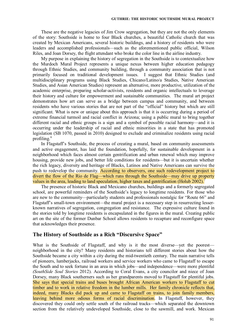These are the negative legacies of Jim Crow segregation, but they are not the only elements of the story: Southside is home to four Black churches, a beautiful Catholic church that was created by Mexican Americans, several historic buildings, and a history of residents who were leaders and accomplished professionals—such as the aforementioned public official, Wilson Riles, and Joan Dorsey, the flight attendant who broke the color line in the airline industry.

My purpose in explaining the history of segregation in the Southside is to contextualize how the Murdoch Mural Project represents a unique nexus between higher education pedagogy through Ethnic Studies, and community building, through a community association that is not primarily focused on traditional development issues. I suggest that Ethnic Studies (and multidisciplinary programs using Black Studies, Chicano/Latino/a Studies, Native American Studies, and Asian American Studies) represent an alternative, more productive, utilization of the academic enterprise, preparing scholar-activists, residents and organic intellectuals to leverage their history and culture for empowerment and sustainable communities. The mural art project demonstrates how art can serve as a bridge between campus and community, and between residents who have various stories that are not part of the "official" history but which are still significant. What is new or unique about this approach is that it is occurring during a period of extreme financial turmoil and racial conflict in Arizona; using a public mural to bring together different racial and ethnic groups is a sign and a symbol of possible racial harmony—and it is occurring under the leadership of racial and ethnic minorities in a state that has promoted legislation (SB 1070, passed in 2010) designed to exclude and criminalize residents using racial profiling.<sup>[6](#page-14-6)</sup>

In Flagstaff's Southside, the process of creating a mural, based on community assessments and active engagement, has laid the foundation, hopefully, for sustainable development in a neighborhood which faces almost certain gentrification and urban renewal which may improve housing, provide new jobs, and better life conditions for residents—but it is uncertain whether the rich legacy, diversity and heritage of Blacks, Latinos and Native Americans can survive the push to redevelop the community. According to observers, one such redevelopment project to divert the flow of the Rio de Flag—which runs through the Southside—may drive up property values in the area, leading to land speculation, higher taxes and gentrification (Holub 2002).

The presence of historic Black and Mexicano churches, buildings and a formerly segregated school, are powerful reminders of the Southside's legacy to longtime residents. For those who are new to the community—particularly students and professionals nostalgic for "Route 66" and Flagstaff's small-town environment—the mural project is a necessary step in resurrecting lesserknown narratives of segregation, congregation and resistance. The expressive culture found in the stories told by longtime residents is encapsulated in the figures in the mural. Creating public art on the site of the former Dunbar School allows residents to recapture and reconfigure space that acknowledges their presence.

#### **The History of Southside as a Rich "Discursive Space"**

What is the Southside of Flagstaff, and why is it the most diverse—yet the poorest neighborhood in the city? Many residents and historians tell different stories about how the Southside became a city within a city during the mid-twentieth century. The main narrative tells of pioneers, lumberjacks, railroad workers and service workers who came to Flagstaff to escape the South and to seek fortune in an area in which jobs—and independence—were more plentiful *(SouthSide Soul Stories* 2012). According to Coral Evans, a city councilor and niece of Joan Dorsey, many Black southerners such as her grandparents moved to Flagstaff for plentiful jobs. She says that special trains and buses brought African American workers to Flagstaff to cut timber and to work in relative freedom in the lumber mills. Her family chronicle reflects that, indeed, many Blacks did pack up and came to Flagstaff on trains, to join family members, leaving behind more odious forms of racial discrimination. In Flagstaff, however, they discovered they could only settle south of the railroad tracks—which separated the downtown section from the relatively undeveloped Southside, close to the sawmill, and work. Mexican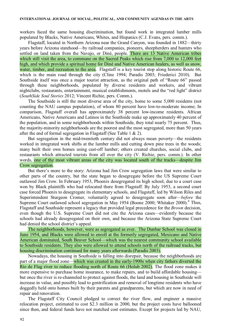workers faced the same housing discrimination, but found work in integrated lumber mills populated by Blacks, Native Americans, Whites, and Hispanics (C.J. Evans, pers. comm.).

Flagstaff, located in Northern Arizona near the Grand Canyon, was founded in 1882—thirty years before Arizona statehood—by railroad companies, pioneers, sheepherders and hunters who settled on land taken from the Navajo, or Diné, people. There are 13 Native American tribes which still visit the area, to commune on the Sacred Peaks which rise from 7,000 to 12,000 feet high, and which provide a spiritual home for Diné and Native American healers, as well as snow, water, timber, and recreation to the area. Flagstaff is a key tourist stop along historic Route 66, which is the main road through the city (Cline 1994; Paradis 2003; Friederici 2010). But Southside itself was once a major tourist attraction, as the original path of "Route 66" passed through these neighborhoods, populated by diverse residents and workers, and vibrant nightclubs, restaurants, entertainment, musical establishments, motels and the "red light" district (*SouthSide Soul Stories* 2012; Vincent Richie, pers. Comm.).

The Southside is still the most diverse area of the city, home to some 5,000 residents (not counting the NAU campus population), of whom 80 percent have low-to-moderate income; In comparison, Flagstaff overall has approximately 38 percent low-income residents. African Americans, Native Americans and Latinos in the Southside make up approximately 40 percent of the population, and in some neighborhoods within Southside, they total nearly 75 percent. Thus, the majority-minority neighborhoods are the poorest and the most segregated, more than 50 years after the end of formal segregation in Flagstaff (See Table 1 & 2).

But segregation in the mid-twentieth century did not always mean poverty—the residents worked in integrated work shifts at the lumber mills and cutting down pine trees in the woods; many built their own homes using cast-off lumber; others created churches, social clubs, and restaurants which attracted tourists from all over the city (V. Richie, pers. comm.). In other words, one of the most vibrant areas of the city was located south of the tracks—despite Jim Crow segregation.

But there's more to the story: Arizona had Jim Crow segregation laws that were similar to other parts of the country, but the state began to desegregate before the US Supreme Court outlawed Jim Crow. In February 1953, Phoenix desegregated its high school, due to a court case won by Black plaintiffs who had relocated there from Flagstaff. By July 1953, a second court case forced Phoenix to desegregate its elementary schools, and Flagstaff, led by Wilson Riles and Superintendent Sturgeon Cromer, voluntarily agreed to desegregate soon after—*before* the Supreme Court outlawed school segregation in May 1954 (Boone 2000; Whitaker 2000).<sup>[8](#page-14-7)</sup> Thus, Flagstaff and Southside represent a legacy that provided legal precedence for the *Brown* decision, even though the U.S. Supreme Court did not cite the Arizona cases—evidently because the schools had already desegregated on their own, and because the Arizona State Supreme Court had denied the school district's appeal.

The neighborhoods, however, were as segregated as ever. The Dunbar School was closed in June 1954, and Blacks were allowed to enroll at the formerly segregated, Mexicano and Native American dominated, South Beaver School—which was the nearest community school available to Southside residents. They also were allowed to attend schools north of the railroad tracks, but housing discrimination continued for many years afterwards (Paradis 2003).

Nowadays, the housing in Southside is falling into disrepair, because the neighborhoods are part of a major flood zone—which was created in the early-1900s when city fathers diverted the Rio de Flag river to reduce flooding north of Route 66 (Holub 2002). The flood zone makes it more expensive to purchase home insurance, to make repairs, and to build affordable housing but once the river is re-channeled to protect against floods, the land and housing in Southside will increase in value, and possibly lead to gentrification and removal of longtime residents who have doggedly held onto homes built by their parents and grandparents, but which are now in need of repair and renovation.

The Flagstaff City Council pledged to correct the river flow, and engineer a massive relocation project, estimated to cost \$2.3 million in 2000, but the project costs have ballooned since then, and federal funds have not matched cost estimates. Except for projects led by NAU,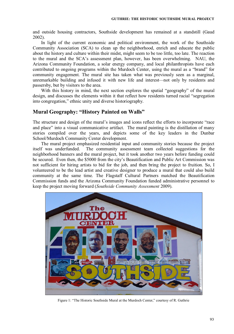and outside housing contractors, Southside development has remained at a standstill (Gaud 2002).

In light of the current economic and political environment, the work of the Southside Community Association (SCA) to clean up the neighborhood, enrich and educate the public about the history and culture within their midst, might seem to be too little, too late. The reaction to the mural and the SCA's assessment plan, however, has been overwhelming. NAU, the Arizona Community Foundation, a solar energy company, and local philanthropists have each contributed to ongoing programs within the Murdoch Center, using the mural as a "brand" for community engagement. The mural site has taken what was previously seen as a marginal, unremarkable building and infused it with new life and interest—not only by residents and passersby, but by visitors to the area.

With this history in mind, the next section explores the spatial "geography" of the mural design, and discusses the elements within it that reflect how residents turned racial "segregation into congregation," ethnic unity and diverse historiography.

# **Mural Geography: "History Painted on Walls"**

The structure and design of the mural's images and icons reflect the efforts to incorporate "race and place" into a visual communicative artifact. The mural painting is the distillation of many stories compiled over the years, and depicts some of the key leaders in the Dunbar School/Murdoch Community Center development.

The mural project emphasized residential input and community stories because the project itself was underfunded. The community assessment team collected suggestions for the neighborhood banners and the mural project, but it took another two years before funding could be secured. Even then, the \$5000 from the city's Beautification and Public Art Commission was not sufficient for hiring artists to bid for the job, and then bring the project to fruition. So, I volunteered to be the lead artist and creative designer to produce a mural that could also build community at the same time. The Flagstaff Cultural Partners matched the Beautification Commission funds and the Arizona Community Foundation funded administrative personnel to keep the project moving forward (*Southside Community Assessment* 2009).



Figure 1: "The Historic Southside Mural at the Murdoch Center," courtesy of R. Guthrie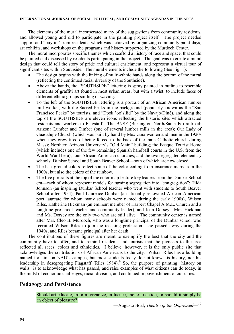The elements of the mural incorporated many of the suggestions from community residents, and allowed young and old to participate in the painting project itself. The project needed support and "buy-in" from residents, which was achieved by organizing community paint days, art exhibits, and workshops on the programs and history supported by the Murdoch Center.

The mural incorporates specific themes which scaffold a history of race and space, that could be painted and discussed by residents participating in the project. The goal was to create a mural design that could tell the story of pride and cultural enrichment, and represent a virtual tour of significant sites within Southside. The mural elements include the following (See Fig. 1):

- ! The design begins with the linking of multi-ethnic hands along the bottom of the mural (reflecting the continued racial diversity of the Southside).
- ! Above the hands, the "SOUTHSIDE" lettering is spray painted in outline to resemble elements of graffiti art found in most urban areas, but with a twist: to include faces of different ethnic groups smiling or waving.
- ! To the left of the SOUTHSIDE lettering is a portrait of an African American lumber mill worker, with the Sacred Peaks in the background (popularly known as the "San Francisco Peaks" by tourists, and "Dook 'oo'sliid" by the Navajo/Diné), and along the top of the SOUTHSIDE are eleven icons reflecting the historic sites which attracted residents and workers to Flagstaff. The BNSF (Burlington North/Santa Fe) railroad; Arizona Lumber and Timber (one of several lumber mills in the area); Our Lady of Guadalupe Church (which was built by hand by Mexicana women and men in the 1920s when they grew tired of being forced to the back of the main Catholic church during Mass); Northern Arizona University's "Old Main" building; the Basque Tourist Home (which includes one of the few remaining Spanish handball courts in the U.S. from the World War II era); four African American churches; and the two segregated elementary schools: Dunbar School and South Beaver School—both of which are now closed.
- The background colors reflect some of the color-coding from insurance maps from the 1900s, but also the colors of the rainbow.
- The five portraits at the top of the color map feature key leaders from the Dunbar School era—each of whom represent models for turning segregation into "congregation": Tilda Johnson (an inspiring Dunbar School teacher who went with students to South Beaver School after 1954), Paul Laurence Dunbar (a nationally renowned African American poet laureate for whom many schools were named during the early 1900s), Wilson Riles, Katherine Hickman (an eminent member of Harbert Chapel A.M.E. Church and a longtime preschool teacher and community leader), and Joan Dorsey. Mrs. Hickman and Ms. Dorsey are the only two who are still alive. The community center is named after Mrs. Cleo B. Murdoch, who was a longtime principal of the Dunbar school who recruited Wilson Riles to join the teaching profession—she passed away during the 1940s, and Riles became principal after her death.

The contributions of these figures are meant to exemplify the best that the city and the community have to offer, and to remind residents and tourists that the pioneers to the area reflected all races, colors and ethnicities. I believe, however, it is the only public site that acknowledges the contributions of African Americans to the city. Wilson Riles has a building named for him on NAU's campus, but most students today do not know his history, nor his leadership in desegregating Flagstaff (Riles 1[9](#page-14-9)84). So, the purpose of painting "history on walls" is to acknowledge what has passed, and raise examples of what citizens can do today, in the midst of economic challenges, racial division, and continued impoverishment of our cities.

#### **Pedagogy and Persistence**

Should art educate, inform, organize, influence, incite to action, or should it simply be an object of pleasure?

—Augusto Boal, *Theatre of the Oppressed*—[10](#page-14-8)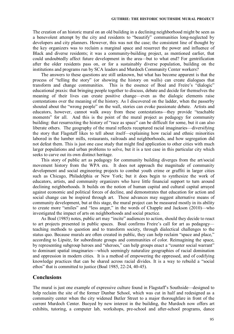The creation of an historic mural on an old building in a declining neighborhood might be seen as a benevolent attempt by the city and residents to "beautify" communities long-neglected by developers and city planners. However, this was not the case; the consistent line of thought by the key organizers was to reclaim a marginal space and resurrect the power and influence of Black and diverse residents; it was a community-building project, as mentioned earlier, that could undoubtedly affect future development in the area—but to what end? For gentrification after the older residents pass on, or for a sustainably diverse population, building on the institutions and programs run by SCA leaders and Murdoch Community Center workers?

The answers to these questions are still unknown, but what has become apparent is that the process of "telling the story" (or showing the history on walls) can create dialogues that transform and change communities. This is the essence of Boal and Freire's "dialogic" educational praxis: that bringing people together to discuss, debate and decide for themselves the meaning of their lives can create positive change—even as the dialogic elements raise contestations over the meaning of the history. As I discovered on the ladder, when the passerby shouted about the "wrong people" on the wall, stories can evoke passionate debate. Artists and educators, however, cannot walk away from these contestations—they provide "teachable moments" for all. And this is the point of the mural project as pedagogy for community building: that resurrecting the history of "race as space" can be difficult for some, but it can also liberate others. The geography of the mural reflects recaptured racial imaginaries—diversifying the story that Flagstaff likes to tell about itself—explaining how racial and ethnic minorities labored in the lumber mills, restaurants, railroads and neighborhoods, and how segregation did not defeat them. This is just one case study that might find application to other cities with much larger populations and urban problems to solve, but it is a test case in this particular city which seeks to carve out its own distinct heritage.

This story of public art as pedagogy for community building diverges from the art/social movement history from the WPA era. It does not approach the magnitude of community development and social engineering projects to combat youth crime or graffiti in larger cities such as Chicago, Philadelphia or New York; but it does begin to synthesize the work of educators, artists, and community organizers who have little financial support to turn around declining neighborhoods. It builds on the notion of human capital and cultural capital arrayed against economic and political forces of decline, and demonstrates that education for action and social change can be inspired through art. These advances may suggest alternative means of community development, but at this stage, the mural project can be measured mostly in its ability to create more "smiles" and "less anger," in the words of Chapple and Jackson (2010)—who investigated the impact of arts on neighborhoods and social practice.

As Boal (1985) notes, public art may "incite" audiences to action, should they decide to react to art projects presented in public spaces. Boal confirms Freire's call for art as pedagogy teaching methods to question and to transform society, through dialectical challenges to the status quo. Because murals are often created in public, they can help reclaim "space and place," according to Lipsitz, for subordinate groups and communities of color. Reimagining the space, by representing subgroup heroes and "sheroes," can help groups enact a "counter social warrant" to dominant spatial imaginaries—which seemingly naturalize geographies of racial domination and oppression in modern cities. It is a method of empowering the oppressed, and of codifying knowledge practices that can be shared across racial divides. It is a way to rebuild a "social ethos" that is committed to justice (Boal 1985, 22-24, 40-45).

# **Conclusions**

The mural is just one example of expressive culture found in Flagstaff's Southside—designed to help reclaim the site of the former Dunbar School, which was cut in half and redesigned as a community center when the city widened Butler Street to a major thoroughfare in front of the current Murdoch Center. Buoyed by new interest in the building, the Murdoch now offers art exhibits, tutoring, a computer lab, workshops, pre-school and after-school programs, dance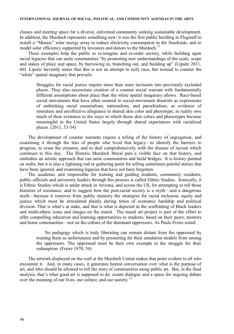#### **INTERNATIONAL JOURNAL OF SOCIAL, POLITICAL, AND COMMUNITY AGENDAS IN THE ARTS**

classes and meeting space for a diverse, enlivened community seeking sustainable development. In addition, the Murdoch represents something new: it was the first public building in Flagstaff to install a "Mosaic" solar energy array to reduce electricity consumption in the Southside, and to model solar efficiency supported by investors and donors to the Murdoch.<sup>[11](#page-14-11)</sup>

These examples help the public to re-imagine and re-order society, while building upon racial legacies that can unite communities "by promoting new understandings of the scale, scope and stakes of place and space, by burrowing in, branching out, and building up" (Lipsitz 2011, 60). Lipsitz fervently states that this is not an attempt to reify race, but instead to counter the "white" spatial imaginary that prevails:

Struggles for racial justice require more than mere inclusion into previously excluded places. They also necessitate creation of a counter social warrant with fundamentally different assumptions about place than the white spatial imaginary allows. Race-based social movements that have often seemed to social-movement theorists as expressions of unthinking racial essentialism, nationalism, and parochialism, as evidence of immature and unreflective allegiance to shared skin color and phenotype, in reality owe much of their existence to the ways in which those skin colors and phenotypes become meaningful in the United States largely through shared experiences with racialized places. (2011, 53-54)

The development of counter warrants require a telling of the history of segregation, and examining it through the lens of people who lived that legacy—to identify the barriers to progress, to erase the erasures, and to deal comprehensively with the disease of racism which continues to this day. The Historic Murdoch Mural puts a visible face on that history, and embodies an artistic approach that can unite communities and build bridges. It is history painted on walls, but it is also a lightning rod or gathering point for telling sometimes painful stories that have been ignored, and examining legacies that have not been forgotten.

The academic unit responsible for training and guiding students, community residents, public officials and university leaders through this process is called Ethnic Studies. Ironically, it is Ethnic Studies which is under attack in Arizona, and across the US, for attempting to tell those histories of resistance, and to suggest how the post-racial society is a myth—and a dangerous myth—because it removes from public memory the strategies for racial inclusion, equity and justice which must be articulated plainly during times of economic hardship and political division. That is what's at stake, and that is what is depicted in the scaffolding of Black leaders and multi-ethnic icons and images on the mural. The mural art project is part of the effort to offer compelling education and learning opportunities to students, based on their peers, mentors and home communities—not on the culture of the dominant oppressors. As Paulo Freire noted:

No pedagogy which is truly liberating can remain distant from the oppressed by treating them as unfortunates and by presenting for their emulation models from among the oppressors. The oppressed must be their own example in the struggle for their redemption. (Freire 1970, 54)

The artwork displayed on the wall at the Murdoch Center makes that point evident to all who encounter it. And, in many cases, it generates heated conversation over what is the purpose of art, and who should be allowed to tell the story of communities using public art. But, in the final analysis, that's what good art is supposed to do: create dialogue and a space for ongoing debate over the meaning of our lives, our culture, and our society.<sup>[12](#page-14-10)</sup>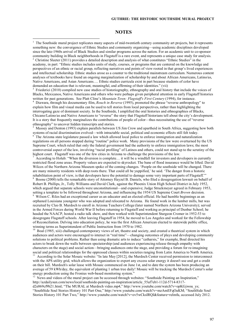## **NOTES**

<span id="page-14-2"></span><span id="page-14-0"></span>1 The Southside mural project replicates many aspects of mid-twentieth century community art projects, but it represents something new: the convergence of Ethnic Studies and community organizing—using academic disciplines developed since the late-1960s arrival of Black Studies and similar programs across the nation. For an academic unit to co-sponsor community building in Black neighborhoods in Flagstaff is a rare event, and represents a unique case study for analysis. <sup>2</sup> Christine Sleeter (2011) provides a detailed description and analysis of what constitutes "Ethnic Studies" in the academy, in part: "Ethnic studies includes units of study, courses, or programs that are centered on the knowledge and perspectives of an ethnic or racial group, reflecting narratives and points of view rooted in that group's lived experiences and intellectual scholarship. Ethnic studies arose as a counter to the traditional mainstream curriculum. Numerous content analyses of textbooks have found an ongoing marginalization of scholarship by and about African Americans, Latino/as, Native Americans, and Asian Americans…. Ethnic studies curricula exist in part because students of color have demanded an education that is relevant, meaningful, and affirming of their identities." (vii)

<span id="page-14-1"></span>3 Friederici (2010) compiled new case studies of historiography, ethnography and oral history that include the voices of Blacks, Mexicanos, Native Americans and others who were perhaps given peripheral attention in early Flagstaff histories written for past generations. See Platt Cline's *Mountain Town: Flagstaff's First Century* (1994), for instance.

<span id="page-14-3"></span> Diawara, through his documentary film, *Rouch in Reverse* (1995), promoted the phrase "reverse anthropology" to explain how film and visual media can be used to tell stories from local perspectives, rather than highlighting the interrogating gaze of dominant society. In the Southside, I amplified the oral histories and ethnographies of Blacks, Chicano/Latino/as and Native Americans to "reverse" the story that Flagstaff historians tell about the city's development. It is a story that frequently marginalizes the contributions of people of color—thus necessitating the use of "reverse ethnography" to uncover hidden transcripts and stories.

<span id="page-14-6"></span><span id="page-14-4"></span>5 Massey and Denton (1993) explain parallels between US Jim Crow and apartheid in South Africa, suggesting how both systems of racial discrimination evolved—with intractable social, political and economic effects still felt today.<br><sup>6</sup> The Arizone state logislature pessed a low which allowed logal police to opforee immigration and patura The Arizona state legislature passed a law which allowed local police to enforce immigration and naturalization regulations on all persons stopped during "routine" police work. Many provisions of the law were overturned by the US Supreme Court, which ruled that only the federal government had the authority to enforce immigration laws; the most controversial aspect of the law, involving "racial profiling" of Latinos and others, could not stand up to the scrutiny of the highest court. Flagstaff was one of the few cities in Arizona to challenge the provisions of the law.

<span id="page-14-5"></span>7 According to Holub: "When the diversion is complete… it will be a windfall for investors and developers in currently restricted flood zone areas. Property values are expected to skyrocket. The bane of flood insurance would be lifted. David Wilcox of the Northern Arizona Museum spoke of the coming changes. 'People on the southside will be changed. There are many minority residents with deep roots there. That could all be yuppified,' he said. 'The danger from a historic rehabilitation point of view, is that developers have the potential to damage some very important parts of Flagstaff."

<span id="page-14-7"></span> Boone (2000) tells the remarkable story of Attorney Hayzel B. Daniels, who filed a desegregation lawsuit on behalf of Robert B. Phillips, Jr., Tolly Williams and David Clark, against the Phoenix Union High School District in July 1952, which argued that separate schools were unconstitutional—and expensive; Judge Struckmeyer agreed in February 1953, setting a template to be followed throughout Arizona, and influencing the 1954 US Supreme Court *Brown* decision. <sup>9</sup>

<span id="page-14-9"></span>Wilson C. Riles had an exceptional career as an educator and an elected official. He had humble beginnings as an orphaned Louisiana youngster who was adopted and relocated to Arizona. He found work in the lumber mills, but was recruited by Cleo B. Murdoch to enroll in Arizona Teachers College (later named Northern Arizona University); served in the Armed Forces during World War II before returning to Flagstaff and working as principal of Dunbar School; he headed the NAACP, hosted a radio talk show, and then worked with Superintendent Sturgeon Cromer in 1952-53 to desegregate Flagstaff schools. After leaving Flagstaff in 1954, he moved to Los Angeles and worked for the Fellowship of Reconciliation. Delving into education policy, he was the first African American elected to statewide public office, winning terms as Superintendent of Public Instruction from 1970 to 1982.

<span id="page-14-8"></span>10 Boal (1985, xiii) challenged contemporary views of art, theatre and society, and created a theatrical system in which audiences and actors were encouraged to interact in "real time"—changing outcomes of plays and developing community solutions to political problems. Rather than using dramatic arts to induce "catharsis," for example, Boal directed his actors to break down the walls between spectatorship (and audiences experiencing release through empathy with characters on the stage) and social action—bringing audiences onto the stage, and providing a forum for re-imagining<br>social and political relationships for the oppressed classes within societies ranging from Latin America

<span id="page-14-11"></span>According to the Solar Mosaic website: "In late May [2012], the Murdoch Center received permission to interconnect with the APS utility grid, which allows the organization to export any excess solar energy it doesn't use and get a credit on their bill. Murdoch's solar lease with Mosaic commenced on June 1st, and to date the system has been producing an average of 59 kWh/day, the equivalent of planting 1 urban tree daily! Mosaic will be tracking the Murdoch Center's solar energy production using the Fronius web-based monitoring system."

<span id="page-14-10"></span><sup>12</sup> News and videos of the mural project can be accessed through websites: "Southside Painting an Inspiration," http://azdailysun.com/news/local/southside-painting-an-inspiration/article\_55af7eb1-112d-5714-8317 d2e069cf9b21.html; "The MURAL at Murdoch video.mp4," http://www.youtube.com/watch?v=opKGjwou\_ys; "SouthSide Soul Stories History 101 Part One," http://www.youtube.com/watch?v=mzAmEFqOaKM; "SouthSide Soul Stories History 101 Part Two," http://www.youtube.com/watch?v=ov5wCksIRQI&feature=relmfu, accessed July 2012.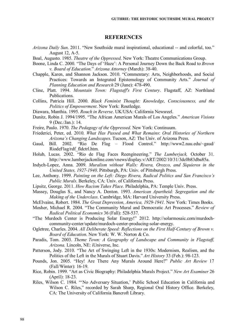# **REFERENCES**

- *Arizona Daily Sun*. 2011. "New Southside mural inspirational, educational -- and colorful, too." August 12, A-5.
- Boal, Augusto. 1985. *Theatre of the Oppressed*. New York: Theatre Communications Group.
- Boone, Linda C. 2000. "The Days of 'Haze': A Personal Journey Down the Back Road to *Brown v. Board of Education.*" *Arizona Attorney* (March): 38-40.
- Chapple, Karen, and Shannon Jackson. 2010. "Commentary: Arts, Neighborhoods, and Social Practices: Towards an Integrated Epistemology of Community Arts." *Journal of Planning Education and Research* 29 (June): 478-490.
- Cline, Platt. 1994. *Mountain Town: Flagstaff's First Century*. Flagstaff, AZ: Northland Publications.
- Collins, Patricia Hill. 2000. *Black Feminist Thought: Knowledge, Consciousness, and the Politics of Empowerment*. New York: Routledge.
- Diawara, Manthia. 1995. *Rouch in Reverse*. UK/USA: California Newsreel.
- Dunitz, Robin J. 1994/1995. "The African American Murals of Los Angeles." *American Visions* 9 (Dec./Jan.): 14.
- Freire, Paulo. 1970. *The Pedagogy of the Oppressed.* New York: Continuum.
- Friederici, Peter, ed. 2010. *What Has Passed and What Remains*: *Oral Histories of Northern Arizona's Changing Landscapes*. Tucson, AZ: The Univ. of Arizona Press.
- Gaud, Bill. 2002. "Rio De Flag Flood Control." http://www2.nau.edu/~gaud/ RiodeFlag/rdf\_fldctrl.htm.
- Holub, Lucas. 2002. "Rio de Flag Faces Reengineering." *The Lumberjack,* October 31. http://www.lumberjackonline.com/vnews/display.v/ART/2002/10/31/3dc0b83dba85a.
- Indych-Lopez, Anna. 2009. *Muralism without Walls: Rivera, Orozco, and Siquieros in the United States, 1927-1940*. Pittsburgh, PA: Univ. of Pittsburgh Press.
- Lee, Anthony. 1999. *Painting on the Left: Diego Rivera, Radical Politics and San Francisco's Public Murals*. Berkeley, CA: Univ. of California Press.
- Lipsitz, George. 2011. *How Racism Takes Place.* Philadelphia, PA: Temple Univ. Press.
- Massey, Douglas S., and Nancy A. Denton. 1993. *American Apartheid: Segregation and the Making of the Underclass*. Cambridge, MA: Harvard University Press.
- McElvaine, Robert. 1984. *The Great Depression, America, 1929-1941.* New York: Times Books.
- Mosher, Michael R. 2004. "The Community Mural and Democratic Art Processes." *Review of Radical Political Economics* 36 (Fall): 528-537.
- "The Murdoch Center is Producing Solar Energy!" 2012. http://solarmosaic.com/murdochcommunity-center/update/murdoch-center-producing-solar-energy.
- Ogletree, Charles. 2004. *All Deliberate Speed: Reflections on the First Half-Century of Brown v. Board of Education*. New York: W. W. Norton & Co.
- Paradis, Tom. 2003. *Theme Town: A Geography of Landscape and Community in Flagstaff, Arizona.* Lincoln, NE: iUniverse, Inc.
- Patterson, Jody. 2010. "The Art of Swinging Left in the 1930s: Modernism, Realism, and the Politics of the Left in the Murals of Stuart Davis." *Art History* 33 (Feb.): 98-123.
- Pounds, Jon. 2005. "Hey! Are There Any Murals Around Here?" *Public Art Review* 17 (Fall/Winter): 16-19.
- Rice, Robin. 1999. "Art as Civic Biography: Philadelphia Murals Project." *New Art Examiner* 26 (April): 18-23.
- Riles, Wilson C. 1984. "'No Adversary Situation,' Public School Education in California and Wilson C. Riles," recorded by Sarah Sharp, Regional Oral History Office. Berkeley, CA: The University of California Bancroft Library.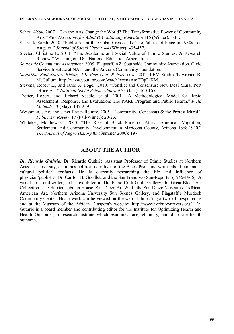#### **INTERNATIONAL JOURNAL OF SOCIAL, POLITICAL, AND COMMUNITY AGENDAS IN THE ARTS**

Scher, Abby. 2007. "Can the Arts Change the World? The Transformative Power of Community Arts." *New Directions for Adult & Continuing Education* 116 (Winter): 3-11.

- Schrank, Sarah. 2010. "Public Art at the Global Crossroads: The Politics of Place in 1930s Los Angeles." *Journal of Social History* 44 (Winter): 435-457.
- Sleeter, Christine E. 2011. "The Academic and Social Value of Ethnic Studies: A Research Review." Washington, DC: National Education Association.
- *Southside Community Assessment*. 2009. Flagstaff, AZ: Southside Community Association, Civic Service Institute at NAU, and the Arizona Community Foundation.
- *SouthSide Soul Stories History 101 Part One, & Part Two.* 2012. LBM Studios/Lawrence B. McCullum. http://www.youtube.com/watch?v=mzAmEFqOaKM.
- Stevens, Robert L., and Jared A. Fogel. 2010. "Conflict and Consensus: New Deal Mural Post Office Art." *National Social Science Journal* 33 (Jan.): 160-165.
- Trotter, Robert, and Richard Needle, et al. 2001. "A Methodological Model for Rapid Assessment, Response, and Evaluation: The RARE Program and Public Health." *Field Methods* 13 (May): 137-259.
- Weissman, Jane, and Janet Braun-Reinitz. 2005. "Community, Consensus & the Protest Mural." *Public Art Review* 17 (Fall/Winter): 20-23.
- Whitaker, Matthew C. 2000. "The Rise of Black Phoenix: African-American Migration, Settlement and Community Development in Maricopa County, Arizona 1868-1930." *The Journal of Negro History* 85 (Summer 2000): 197.

## **ABOUT THE AUTHOR**

*Dr. Ricardo Guthrie:* Dr. Ricardo Guthrie, Assistant Professor of Ethnic Studies at Northern Arizona University, examines political narratives of the Black Press and writes about cinema as cultural political artifacts. He is currently researching the life and influence of physician/publisher Dr. Carlton B. Goodlett and the San Francisco Sun-Reporter (1945-1966). A visual artist and writer, he has exhibited in The Piano Craft Guild Gallery, the Great Black Art Collection, The Harriet Tubman House, San Diego Art Walk, the San Diego Museum of African American Art, Northern Arizona University Sun Scenes Gallery, and Flagstaff's Murdoch Community Center. His artwork can be viewed on the web at: http://rag-artwork.blogspot.com/ and at the Museum of the African Diaspora's website: http://www.iveknownrivers.org/. Dr. Guthrie is a board member and contributing editor for the Institute for Optimizing Health and Health Outcomes, a research institute which examines race, ethnicity, and disparate health outcomes.